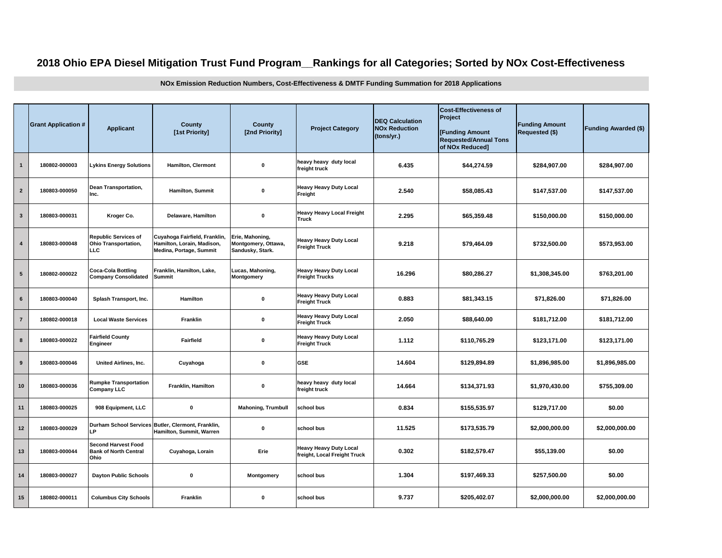## **2018 Ohio EPA Diesel Mitigation Trust Fund Program\_\_Rankings for all Categories; Sorted by NOx Cost-Effectiveness**

**NOx Emission Reduction Numbers, Cost-Effectiveness & DMTF Funding Summation for 2018 Applications**

|                         | <b>Grant Application #</b> | <b>Applicant</b>                                                   | <b>County</b><br>[1st Priority]                                                        | County<br>[2nd Priority]                                   | <b>Project Category</b>                                                       | <b>DEQ Calculation</b><br><b>NOx Reduction</b><br>(tons/yr.) | <b>Cost-Effectiveness of</b><br>Project<br>[Funding Amount<br><b>Requested/Annual Tons</b><br>of NOx Reduced] | <b>Funding Amount</b><br>Requested (\$) | <b>Funding Awarded (\$)</b> |
|-------------------------|----------------------------|--------------------------------------------------------------------|----------------------------------------------------------------------------------------|------------------------------------------------------------|-------------------------------------------------------------------------------|--------------------------------------------------------------|---------------------------------------------------------------------------------------------------------------|-----------------------------------------|-----------------------------|
| $\mathbf{1}$            | 180802-000003              | <b>Lykins Energy Solutions</b>                                     | Hamilton, Clermont                                                                     | $\pmb{0}$                                                  | heavy heavy duty local<br>freight truck                                       | 6.435                                                        | \$44,274.59                                                                                                   | \$284,907.00                            | \$284,907.00                |
| $\overline{2}$          | 180803-000050              | <b>Dean Transportation,</b><br>Inc.                                | Hamilton, Summit                                                                       | $\pmb{0}$                                                  | <b>Heavy Heavy Duty Local</b><br>Freight                                      | 2.540                                                        | \$58,085.43                                                                                                   | \$147,537.00                            | \$147,537.00                |
| $\mathbf{3}$            | 180803-000031              | Kroger Co.                                                         | Delaware, Hamilton                                                                     | $\pmb{0}$                                                  | <b>Heavy Heavy Local Freight</b><br>Truck                                     | 2.295                                                        | \$65,359.48                                                                                                   | \$150,000.00                            | \$150,000.00                |
| $\overline{\mathbf{4}}$ | 180803-000048              | <b>Republic Services of</b><br><b>Ohio Transportation,</b><br>LLC  | Cuyahoga Fairfield, Franklin,<br>Hamilton, Lorain, Madison,<br>Medina, Portage, Summit | Erie, Mahoning,<br>Montgomery, Ottawa,<br>Sandusky, Stark. | <b>Heavy Heavy Duty Local</b><br><b>Freight Truck</b>                         | 9.218                                                        | \$79,464.09                                                                                                   | \$732,500.00                            | \$573,953.00                |
| $5\phantom{.0}$         | 180802-000022              | <b>Coca-Cola Bottling</b><br><b>Company Consolidated</b>           | Franklin, Hamilton, Lake,<br><b>Summit</b>                                             | Lucas, Mahoning,<br>Montgomery                             | <b>Heavy Heavy Duty Local</b><br><b>Freight Trucks</b>                        | 16.296                                                       | \$80,286.27                                                                                                   | \$1,308,345.00                          | \$763,201.00                |
| $\bf 6$                 | 180803-000040              | Splash Transport, Inc.                                             | Hamilton                                                                               | $\pmb{0}$                                                  | <b>Heavy Heavy Duty Local</b><br><b>Freight Truck</b>                         | 0.883                                                        | \$81,343.15                                                                                                   | \$71,826.00                             | \$71,826.00                 |
| $\overline{7}$          | 180802-000018              | <b>Local Waste Services</b>                                        | Franklin                                                                               | $\pmb{0}$                                                  | <b>Heavy Heavy Duty Local</b><br>2.050<br>\$88,640.00<br><b>Freight Truck</b> |                                                              |                                                                                                               | \$181,712.00                            | \$181,712.00                |
| 8                       | 180803-000022              | <b>Fairfield County</b><br>Engineer                                | Fairfield                                                                              | $\pmb{0}$                                                  | <b>Heavy Heavy Duty Local</b><br><b>Freight Truck</b>                         | 1.112                                                        | \$110,765.29                                                                                                  | \$123,171.00                            | \$123,171.00                |
| 9                       | 180803-000046              | United Airlines, Inc.                                              | Cuyahoga                                                                               | $\pmb{0}$                                                  | <b>GSE</b>                                                                    | 14.604                                                       | \$129,894.89                                                                                                  | \$1,896,985.00                          | \$1,896,985.00              |
| 10                      | 180803-000036              | <b>Rumpke Transportation</b><br><b>Company LLC</b>                 | Franklin, Hamilton                                                                     | $\pmb{0}$                                                  | heavy heavy duty local<br>freight truck                                       | 14.664                                                       | \$134,371.93                                                                                                  | \$1,970,430.00                          | \$755.309.00                |
| 11                      | 180803-000025              | 908 Equipment, LLC                                                 | $\mathbf 0$                                                                            | <b>Mahoning, Trumbull</b>                                  | school bus                                                                    | 0.834                                                        | \$155,535.97                                                                                                  | \$129,717.00                            | \$0.00                      |
| 12                      | 180803-000029              | <b>LP</b>                                                          | Durham School Services Butler, Clermont, Franklin,<br>Hamilton, Summit, Warren         | $\mathbf 0$                                                | school bus                                                                    | 11.525                                                       | \$173,535.79                                                                                                  | \$2,000,000.00                          | \$2,000,000.00              |
| 13                      | 180803-000044              | <b>Second Harvest Food</b><br><b>Bank of North Central</b><br>Ohio | Cuyahoga, Lorain                                                                       | Erie                                                       | <b>Heavy Heavy Duty Local</b><br>freight, Local Freight Truck                 | 0.302                                                        | \$182,579.47                                                                                                  | \$55,139.00                             | \$0.00                      |
| 14                      | 180803-000027              | <b>Dayton Public Schools</b>                                       | $\pmb{0}$                                                                              | Montgomery                                                 | school bus                                                                    | 1.304                                                        | \$197,469.33                                                                                                  | \$257,500.00                            | \$0.00                      |
| 15                      | 180802-000011              | <b>Columbus City Schools</b>                                       | Franklin                                                                               | 0                                                          | school bus                                                                    | 9.737                                                        | \$205,402.07                                                                                                  | \$2,000,000.00                          | \$2,000,000.00              |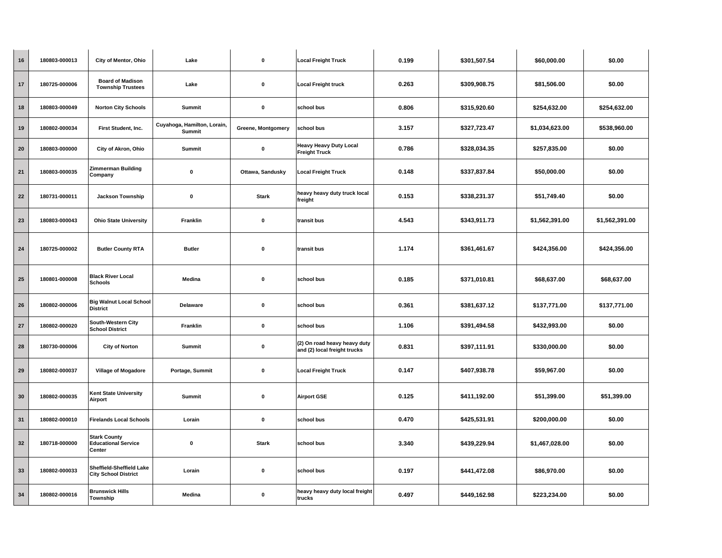| 16 | 180803-000013 | City of Mentor, Ohio                                           | Lake                                         | 0                  | <b>Local Freight Truck</b>                                   | 0.199 | \$301,507.54 | \$60,000.00    | \$0.00         |
|----|---------------|----------------------------------------------------------------|----------------------------------------------|--------------------|--------------------------------------------------------------|-------|--------------|----------------|----------------|
| 17 | 180725-000006 | <b>Board of Madison</b><br><b>Township Trustees</b>            | Lake                                         | $\pmb{0}$          | <b>Local Freight truck</b>                                   | 0.263 | \$309,908.75 | \$81,506.00    | \$0.00         |
| 18 | 180803-000049 | <b>Norton City Schools</b>                                     | Summit                                       | $\pmb{0}$          | school bus                                                   | 0.806 | \$315,920.60 | \$254,632.00   | \$254,632.00   |
| 19 | 180802-000034 | First Student, Inc.                                            | Cuyahoga, Hamilton, Lorain,<br><b>Summit</b> | Greene, Montgomery | school bus                                                   | 3.157 | \$327,723.47 | \$1,034,623.00 | \$538,960.00   |
| 20 | 180803-000000 | City of Akron, Ohio                                            | Summit                                       | 0                  | <b>Heavy Heavy Duty Local</b><br><b>Freight Truck</b>        | 0.786 | \$328,034.35 | \$257,835.00   | \$0.00         |
| 21 | 180803-000035 | <b>Zimmerman Building</b><br>Company                           | $\mathbf 0$                                  | Ottawa, Sandusky   | <b>Local Freight Truck</b>                                   | 0.148 | \$337,837.84 | \$50,000.00    | \$0.00         |
| 22 | 180731-000011 | <b>Jackson Township</b>                                        | $\pmb{0}$                                    | <b>Stark</b>       | heavy heavy duty truck local<br>freight                      | 0.153 | \$338,231.37 | \$51,749.40    | \$0.00         |
| 23 | 180803-000043 | <b>Ohio State University</b>                                   | Franklin                                     | 0                  | transit bus                                                  | 4.543 | \$343,911.73 | \$1,562,391.00 | \$1,562,391.00 |
| 24 | 180725-000002 | <b>Butler County RTA</b>                                       | <b>Butler</b>                                | $\pmb{0}$          | transit bus                                                  | 1.174 | \$361,461.67 | \$424,356.00   | \$424,356.00   |
| 25 | 180801-000008 | <b>Black River Local</b><br><b>Schools</b>                     | Medina                                       | $\mathbf 0$        | school bus                                                   | 0.185 | \$371,010.81 | \$68,637.00    | \$68,637.00    |
| 26 | 180802-000006 | <b>Big Walnut Local School</b><br><b>District</b>              | Delaware                                     | $\mathbf 0$        | school bus                                                   | 0.361 | \$381,637.12 | \$137,771.00   | \$137,771.00   |
| 27 | 180802-000020 | South-Western City<br><b>School District</b>                   | Franklin                                     | $\pmb{0}$          | school bus                                                   | 1.106 | \$391,494.58 | \$432,993.00   | \$0.00         |
| 28 | 180730-000006 | <b>City of Norton</b>                                          | <b>Summit</b>                                | $\pmb{0}$          | (2) On road heavy heavy duty<br>and (2) local freight trucks | 0.831 | \$397,111.91 | \$330,000.00   | \$0.00         |
| 29 | 180802-000037 | Village of Mogadore                                            | Portage, Summit                              | 0                  | <b>Local Freight Truck</b>                                   | 0.147 | \$407,938.78 | \$59,967.00    | \$0.00         |
| 30 | 180802-000035 | <b>Kent State University</b><br>Airport                        | Summit                                       | $\mathbf 0$        | <b>Airport GSE</b>                                           | 0.125 | \$411,192.00 | \$51,399.00    | \$51,399.00    |
| 31 | 180802-000010 | <b>Firelands Local Schools</b>                                 | Lorain                                       | $\pmb{0}$          | school bus                                                   | 0.470 | \$425,531.91 | \$200,000.00   | \$0.00         |
| 32 | 180718-000000 | <b>Stark County</b><br><b>Educational Service</b><br>Center    | $\pmb{0}$                                    | <b>Stark</b>       | school bus                                                   | 3.340 | \$439,229.94 | \$1,467,028.00 | \$0.00         |
| 33 | 180802-000033 | <b>Sheffield-Sheffield Lake</b><br><b>City School District</b> | Lorain                                       | $\pmb{0}$          | school bus                                                   | 0.197 | \$441,472.08 | \$86,970.00    | \$0.00         |
| 34 | 180802-000016 | <b>Brunswick Hills</b><br>Township                             | Medina                                       | 0                  | heavy heavy duty local freight<br>trucks                     | 0.497 | \$449,162.98 | \$223,234.00   | \$0.00         |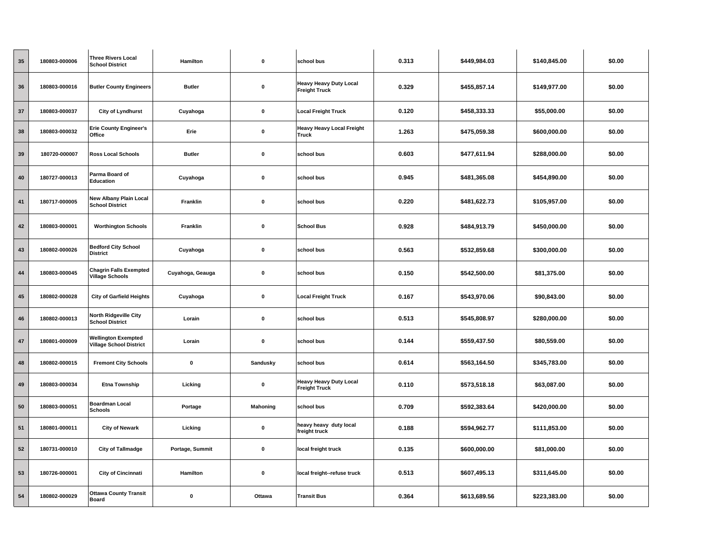| 35 | 180803-000006 | <b>Three Rivers Local</b><br><b>School District</b>          | Hamilton         | 0               | school bus                                            | 0.313 | \$449,984.03 | \$140,845.00 | \$0.00 |
|----|---------------|--------------------------------------------------------------|------------------|-----------------|-------------------------------------------------------|-------|--------------|--------------|--------|
| 36 | 180803-000016 | <b>Butler County Engineers</b>                               | <b>Butler</b>    | $\pmb{0}$       | <b>Heavy Heavy Duty Local</b><br><b>Freight Truck</b> | 0.329 | \$455,857.14 | \$149,977.00 | \$0.00 |
| 37 | 180803-000037 | City of Lyndhurst                                            | Cuyahoga         | $\pmb{0}$       | <b>Local Freight Truck</b>                            | 0.120 | \$458,333.33 | \$55,000.00  | \$0.00 |
| 38 | 180803-000032 | <b>Erie County Engineer's</b><br>Office                      | Erie             | $\pmb{0}$       | <b>Heavy Heavy Local Freight</b><br>Truck             | 1.263 | \$475,059.38 | \$600,000.00 | \$0.00 |
| 39 | 180720-000007 | <b>Ross Local Schools</b>                                    | <b>Butler</b>    | $\pmb{0}$       | school bus                                            | 0.603 | \$477,611.94 | \$288,000.00 | \$0.00 |
| 40 | 180727-000013 | Parma Board of<br>Education                                  | Cuyahoga         | $\pmb{0}$       | school bus                                            | 0.945 | \$481,365.08 | \$454,890.00 | \$0.00 |
| 41 | 180717-000005 | <b>New Albany Plain Local</b><br><b>School District</b>      | Franklin         | $\pmb{0}$       | school bus                                            | 0.220 | \$481,622.73 | \$105,957.00 | \$0.00 |
| 42 | 180803-000001 | <b>Worthington Schools</b>                                   | Franklin         | $\pmb{0}$       | <b>School Bus</b>                                     | 0.928 | \$484,913.79 | \$450,000.00 | \$0.00 |
| 43 | 180802-000026 | <b>Bedford City School</b><br><b>District</b>                | Cuyahoga         | $\pmb{0}$       | school bus                                            | 0.563 | \$532,859.68 | \$300,000.00 | \$0.00 |
| 44 | 180803-000045 | <b>Chagrin Falls Exempted</b><br><b>Village Schools</b>      | Cuyahoga, Geauga | $\pmb{0}$       | school bus                                            | 0.150 | \$542,500.00 | \$81,375.00  | \$0.00 |
| 45 | 180802-000028 | <b>City of Garfield Heights</b>                              | Cuyahoga         | $\pmb{0}$       | <b>Local Freight Truck</b>                            | 0.167 | \$543,970.06 | \$90,843.00  | \$0.00 |
| 46 | 180802-000013 | <b>North Ridgeville City</b><br><b>School District</b>       | Lorain           | 0               | school bus                                            | 0.513 | \$545,808.97 | \$280,000.00 | \$0.00 |
| 47 | 180801-000009 | <b>Wellington Exempted</b><br><b>Village School District</b> | Lorain           | $\pmb{0}$       | school bus                                            | 0.144 | \$559,437.50 | \$80,559.00  | \$0.00 |
| 48 | 180802-000015 | <b>Fremont City Schools</b>                                  | $\mathbf 0$      | Sandusky        | school bus                                            | 0.614 | \$563,164.50 | \$345,783.00 | \$0.00 |
| 49 | 180803-000034 | <b>Etna Township</b>                                         | Licking          | $\pmb{0}$       | <b>Heavy Heavy Duty Local</b><br><b>Freight Truck</b> | 0.110 | \$573,518.18 | \$63,087.00  | \$0.00 |
| 50 | 180803-000051 | <b>Boardman Local</b><br><b>Schools</b>                      | Portage          | <b>Mahoning</b> | school bus                                            | 0.709 | \$592,383.64 | \$420,000.00 | \$0.00 |
| 51 | 180801-000011 | <b>City of Newark</b>                                        | Licking          | $\pmb{0}$       | heavy heavy duty local<br>freight truck               | 0.188 | \$594,962.77 | \$111,853.00 | \$0.00 |
| 52 | 180731-000010 | <b>City of Tallmadge</b>                                     | Portage, Summit  | 0               | local freight truck                                   | 0.135 | \$600,000.00 | \$81,000.00  | \$0.00 |
| 53 | 180726-000001 | <b>City of Cincinnati</b>                                    | Hamilton         | $\pmb{0}$       | local freight--refuse truck                           | 0.513 | \$607,495.13 | \$311,645.00 | \$0.00 |
| 54 | 180802-000029 | <b>Ottawa County Transit</b><br><b>Board</b>                 | $\mathbf 0$      | Ottawa          | <b>Transit Bus</b>                                    | 0.364 | \$613,689.56 | \$223,383.00 | \$0.00 |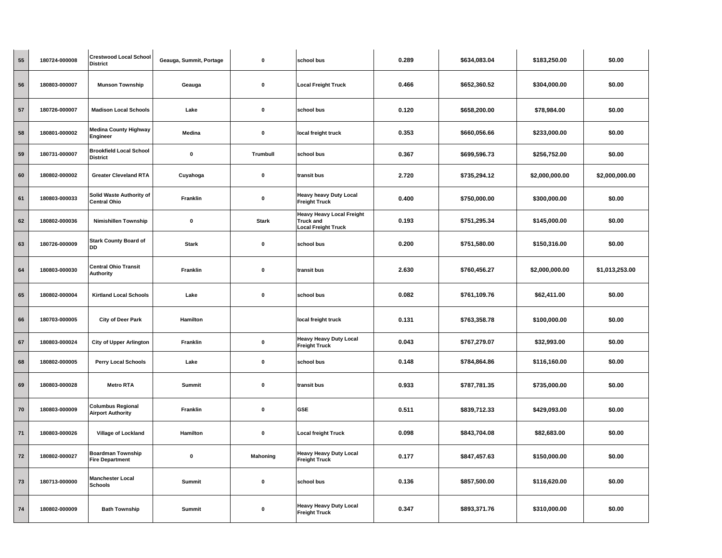| 55         | 180724-000008 | <b>Crestwood Local School</b><br><b>District</b>     | Geauga, Summit, Portage | 0            | school bus                                                                  | 0.289 | \$634,083.04 | \$183,250.00   | \$0.00         |
|------------|---------------|------------------------------------------------------|-------------------------|--------------|-----------------------------------------------------------------------------|-------|--------------|----------------|----------------|
| 56         | 180803-000007 | <b>Munson Township</b>                               | Geauga                  | 0            | <b>Local Freight Truck</b>                                                  | 0.466 | \$652,360.52 | \$304,000.00   | \$0.00         |
| 57         | 180726-000007 | <b>Madison Local Schools</b>                         | Lake                    | $\mathbf 0$  | school bus                                                                  | 0.120 | \$658,200.00 | \$78,984.00    | \$0.00         |
| 58         | 180801-000002 | <b>Medina County Highway</b><br>Engineer             | Medina                  | 0            | local freight truck                                                         | 0.353 | \$660,056.66 | \$233,000.00   | \$0.00         |
| 59         | 180731-000007 | <b>Brookfield Local School</b><br><b>District</b>    | $\mathbf 0$             | Trumbull     | school bus                                                                  | 0.367 | \$699,596.73 | \$256,752.00   | \$0.00         |
| 60         | 180802-000002 | <b>Greater Cleveland RTA</b>                         | Cuyahoga                | 0            | transit bus                                                                 | 2.720 | \$735,294.12 | \$2,000,000.00 | \$2,000,000.00 |
| 61         | 180803-000033 | Solid Waste Authority of<br><b>Central Ohio</b>      | Franklin                | $\mathbf 0$  | <b>Heavy heavy Duty Local</b><br><b>Freight Truck</b>                       | 0.400 | \$750,000.00 | \$300,000.00   | \$0.00         |
| 62         | 180802-000036 | <b>Nimishillen Township</b>                          | $\pmb{0}$               | <b>Stark</b> | <b>Heavy Heavy Local Freight</b><br>Truck and<br><b>Local Freight Truck</b> | 0.193 | \$751,295.34 | \$145,000.00   | \$0.00         |
| 63         | 180726-000009 | <b>Stark County Board of</b><br><b>DD</b>            | <b>Stark</b>            | $\mathbf 0$  | school bus                                                                  | 0.200 | \$751,580.00 | \$150,316.00   | \$0.00         |
| 64         | 180803-000030 | <b>Central Ohio Transit</b><br>Authority             | <b>Franklin</b>         | 0            | transit bus                                                                 | 2.630 | \$760,456.27 | \$2,000,000.00 | \$1,013,253.00 |
| 65         | 180802-000004 | <b>Kirtland Local Schools</b>                        | Lake                    | 0            | school bus                                                                  | 0.082 | \$761,109.76 | \$62,411.00    | \$0.00         |
| 66         | 180703-000005 | City of Deer Park                                    | Hamilton                |              | local freight truck                                                         | 0.131 | \$763,358.78 | \$100,000.00   | \$0.00         |
| 67         | 180803-000024 | <b>City of Upper Arlington</b>                       | Franklin                | 0            | <b>Heavy Heavy Duty Local</b><br><b>Freight Truck</b>                       | 0.043 | \$767,279.07 | \$32,993.00    | \$0.00         |
| 68         | 180802-000005 | Perry Local Schools                                  | Lake                    | $\mathbf 0$  | school bus                                                                  | 0.148 | \$784,864.86 | \$116,160.00   | \$0.00         |
| 69         | 180803-000028 | <b>Metro RTA</b>                                     | <b>Summit</b>           | $\mathbf 0$  | transit bus                                                                 | 0.933 | \$787,781.35 | \$735,000.00   | \$0.00         |
| 70         | 180803-000009 | <b>Columbus Regional</b><br><b>Airport Authority</b> | Franklin                | 0            | <b>GSE</b>                                                                  | 0.511 | \$839,712.33 | \$429,093.00   | \$0.00         |
| $71$       | 180803-000026 | Village of Lockland                                  | Hamilton                | 0            | <b>Local freight Truck</b>                                                  | 0.098 | \$843,704.08 | \$82,683.00    | \$0.00         |
| ${\bf 72}$ | 180802-000027 | <b>Boardman Township</b><br><b>Fire Department</b>   | $\pmb{0}$               | Mahoning     | <b>Heavy Heavy Duty Local</b><br>Freight Truck                              | 0.177 | \$847,457.63 | \$150,000.00   | \$0.00         |
| 73         | 180713-000000 | <b>Manchester Local</b><br><b>Schools</b>            | Summit                  | 0            | school bus                                                                  | 0.136 | \$857,500.00 | \$116,620.00   | \$0.00         |
| 74         | 180802-000009 | <b>Bath Township</b>                                 | Summit                  | 0            | <b>Heavy Heavy Duty Local</b><br><b>Freight Truck</b>                       | 0.347 | \$893,371.76 | \$310,000.00   | \$0.00         |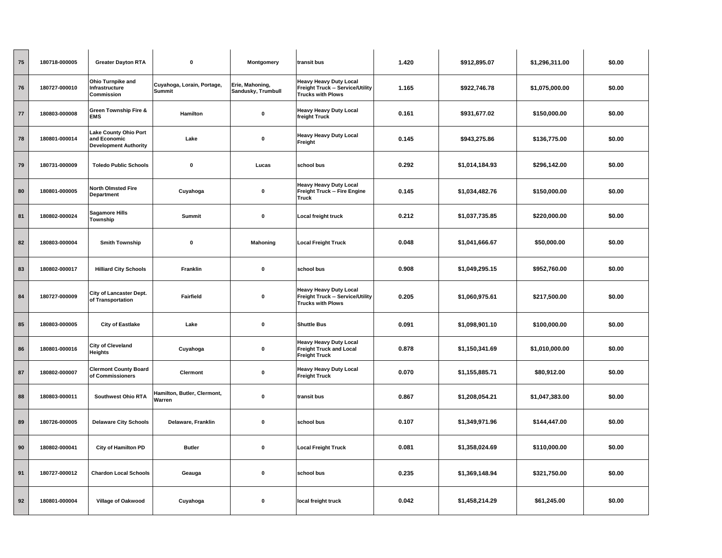| 75 | 180718-000005 | <b>Greater Dayton RTA</b>                                                    | $\pmb{0}$                             | Montgomery                            | transit bus                                                                                   | 1.420 | \$912,895.07   | \$1,296,311.00 | \$0.00 |
|----|---------------|------------------------------------------------------------------------------|---------------------------------------|---------------------------------------|-----------------------------------------------------------------------------------------------|-------|----------------|----------------|--------|
| 76 | 180727-000010 | Ohio Turnpike and<br>Infrastructure<br>Commission                            | Cuyahoga, Lorain, Portage,<br>Summit  | Erie, Mahoning,<br>Sandusky, Trumbull | <b>Heavy Heavy Duty Local</b><br>Freight Truck -- Service/Utility<br><b>Trucks with Plows</b> | 1.165 | \$922,746.78   | \$1,075,000.00 | \$0.00 |
| 77 | 180803-000008 | Green Township Fire &<br><b>EMS</b>                                          | Hamilton                              | $\pmb{0}$                             | <b>Heavy Heavy Duty Local</b><br>freight Truck                                                | 0.161 | \$931,677.02   | \$150,000.00   | \$0.00 |
| 78 | 180801-000014 | <b>Lake County Ohio Port</b><br>and Economic<br><b>Development Authority</b> | Lake                                  | $\pmb{0}$                             | <b>Heavy Heavy Duty Local</b><br>Freight                                                      | 0.145 | \$943,275.86   | \$136,775.00   | \$0.00 |
| 79 | 180731-000009 | <b>Toledo Public Schools</b>                                                 | $\mathbf 0$                           | Lucas                                 | school bus                                                                                    | 0.292 | \$1,014,184.93 | \$296,142.00   | \$0.00 |
| 80 | 180801-000005 | <b>North Olmsted Fire</b><br><b>Department</b>                               | Cuyahoga                              | $\pmb{0}$                             | <b>Heavy Heavy Duty Local</b><br>Freight Truck -- Fire Engine<br>Truck                        | 0.145 | \$1,034,482.76 | \$150,000.00   | \$0.00 |
| 81 | 180802-000024 | <b>Sagamore Hills</b><br>Township                                            | Summit                                | $\pmb{0}$                             | <b>Local freight truck</b>                                                                    | 0.212 | \$1,037,735.85 | \$220,000.00   | \$0.00 |
| 82 | 180803-000004 | <b>Smith Township</b>                                                        | $\pmb{0}$                             | <b>Mahoning</b>                       | <b>Local Freight Truck</b>                                                                    | 0.048 | \$1,041,666.67 | \$50,000.00    | \$0.00 |
| 83 | 180802-000017 | <b>Hilliard City Schools</b>                                                 | Franklin                              | $\pmb{0}$                             | school bus                                                                                    | 0.908 | \$1,049,295.15 | \$952,760.00   | \$0.00 |
| 84 | 180727-000009 | City of Lancaster Dept.<br>of Transportation                                 | Fairfield                             | $\pmb{0}$                             | <b>Heavy Heavy Duty Local</b><br>Freight Truck -- Service/Utility<br><b>Trucks with Plows</b> | 0.205 | \$1,060,975.61 | \$217,500.00   | \$0.00 |
| 85 | 180803-000005 | <b>City of Eastlake</b>                                                      | Lake                                  | $\pmb{0}$                             | <b>Shuttle Bus</b>                                                                            | 0.091 | \$1,098,901.10 | \$100,000.00   | \$0.00 |
| 86 | 180801-000016 | <b>City of Cleveland</b><br>Heights                                          | Cuyahoga                              | $\pmb{0}$                             | <b>Heavy Heavy Duty Local</b><br><b>Freight Truck and Local</b><br><b>Freight Truck</b>       | 0.878 | \$1,150,341.69 | \$1,010,000.00 | \$0.00 |
| 87 | 180802-000007 | <b>Clermont County Board</b><br>of Commissioners                             | Clermont                              | $\pmb{0}$                             | <b>Heavy Heavy Duty Local</b><br><b>Freight Truck</b>                                         | 0.070 | \$1,155,885.71 | \$80,912.00    | \$0.00 |
| 88 | 180803-000011 | <b>Southwest Ohio RTA</b>                                                    | Hamilton, Butler, Clermont,<br>Warren | 0                                     | transit bus                                                                                   | 0.867 | \$1,208,054.21 | \$1,047,383.00 | \$0.00 |
| 89 | 180726-000005 | <b>Delaware City Schools</b>                                                 | Delaware, Franklin                    | 0                                     | school bus                                                                                    | 0.107 | \$1,349,971.96 | \$144,447.00   | \$0.00 |
| 90 | 180802-000041 | <b>City of Hamilton PD</b>                                                   | <b>Butler</b>                         | 0                                     | <b>Local Freight Truck</b>                                                                    | 0.081 | \$1,358,024.69 | \$110,000.00   | \$0.00 |
| 91 | 180727-000012 | <b>Chardon Local Schools</b>                                                 | Geauga                                | $\pmb{0}$                             | school bus                                                                                    | 0.235 | \$1,369,148.94 | \$321,750.00   | \$0.00 |
| 92 | 180801-000004 | Village of Oakwood                                                           | Cuyahoga                              | 0                                     | local freight truck                                                                           | 0.042 | \$1,458,214.29 | \$61,245.00    | \$0.00 |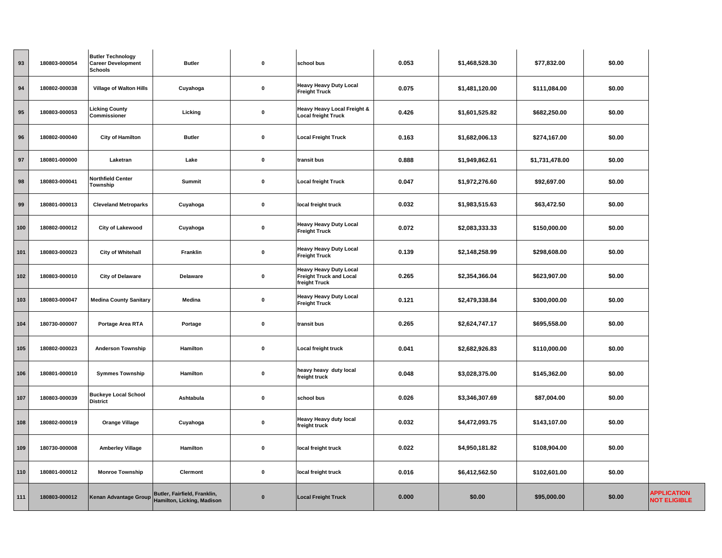| 93  | 180803-000054 | <b>Butler Technology</b><br><b>Career Development</b><br><b>Schools</b> | <b>Butler</b>                                              | $\pmb{0}$   | school bus                                                                       | 0.053 | \$1,468,528.30 | \$77,832.00    | \$0.00 |                                           |
|-----|---------------|-------------------------------------------------------------------------|------------------------------------------------------------|-------------|----------------------------------------------------------------------------------|-------|----------------|----------------|--------|-------------------------------------------|
| 94  | 180802-000038 | <b>Village of Walton Hills</b>                                          | Cuyahoga                                                   | 0           | <b>Heavy Heavy Duty Local</b><br><b>Freight Truck</b>                            | 0.075 | \$1,481,120.00 | \$111,084.00   | \$0.00 |                                           |
| 95  | 180803-000053 | <b>Licking County</b><br>Commissioner                                   | Licking                                                    | $\mathbf 0$ | Heavy Heavy Local Freight &<br><b>Local freight Truck</b>                        | 0.426 | \$1,601,525.82 | \$682,250.00   | \$0.00 |                                           |
| 96  | 180802-000040 | <b>City of Hamilton</b>                                                 | <b>Butler</b>                                              | $\pmb{0}$   | <b>Local Freight Truck</b>                                                       | 0.163 | \$1,682,006.13 | \$274,167.00   | \$0.00 |                                           |
| 97  | 180801-000000 | Laketran                                                                | Lake                                                       | $\pmb{0}$   | transit bus                                                                      | 0.888 | \$1,949,862.61 | \$1,731,478.00 | \$0.00 |                                           |
| 98  | 180803-000041 | Northfield Center<br>Township                                           | Summit                                                     | $\pmb{0}$   | <b>Local freight Truck</b>                                                       | 0.047 | \$1,972,276.60 | \$92,697.00    | \$0.00 |                                           |
| 99  | 180801-000013 | <b>Cleveland Metroparks</b>                                             | Cuyahoga                                                   | $\mathbf 0$ | local freight truck                                                              | 0.032 | \$1,983,515.63 | \$63,472.50    | \$0.00 |                                           |
| 100 | 180802-000012 | <b>City of Lakewood</b>                                                 | Cuyahoga                                                   | 0           | <b>Heavy Heavy Duty Local</b><br><b>Freight Truck</b>                            | 0.072 | \$2,083,333.33 | \$150,000.00   | \$0.00 |                                           |
| 101 | 180803-000023 | <b>City of Whitehall</b>                                                | Franklin                                                   | 0           | <b>Heavy Heavy Duty Local</b><br><b>Freight Truck</b>                            | 0.139 | \$2,148,258.99 | \$298,608.00   | \$0.00 |                                           |
| 102 | 180803-000010 | <b>City of Delaware</b>                                                 | Delaware                                                   | $\pmb{0}$   | <b>Heavy Heavy Duty Local</b><br><b>Freight Truck and Local</b><br>freight Truck | 0.265 | \$2,354,366.04 | \$623,907.00   | \$0.00 |                                           |
| 103 | 180803-000047 | <b>Medina County Sanitary</b>                                           | Medina                                                     | $\pmb{0}$   | <b>Heavy Heavy Duty Local</b><br><b>Freight Truck</b>                            | 0.121 | \$2,479,338.84 | \$300,000.00   | \$0.00 |                                           |
| 104 | 180730-000007 | Portage Area RTA                                                        | Portage                                                    | $\pmb{0}$   | transit bus                                                                      | 0.265 | \$2,624,747.17 | \$695,558.00   | \$0.00 |                                           |
| 105 | 180802-000023 | <b>Anderson Township</b>                                                | Hamilton                                                   | $\pmb{0}$   | Local freight truck                                                              | 0.041 | \$2,682,926.83 | \$110,000.00   | \$0.00 |                                           |
| 106 | 180801-000010 | <b>Symmes Township</b>                                                  | Hamilton                                                   | 0           | heavy heavy duty local<br>freight truck                                          | 0.048 | \$3,028,375.00 | \$145,362.00   | \$0.00 |                                           |
| 107 | 180803-000039 | <b>Buckeye Local School</b><br><b>District</b>                          | Ashtabula                                                  | 0           | school bus                                                                       | 0.026 | \$3,346,307.69 | \$87,004.00    | \$0.00 |                                           |
| 108 | 180802-000019 | <b>Orange Village</b>                                                   | Cuyahoga                                                   | 0           | <b>Heavy Heavy duty local</b><br>freight truck                                   | 0.032 | \$4,472,093.75 | \$143,107.00   | \$0.00 |                                           |
| 109 | 180730-000008 | <b>Amberley Village</b>                                                 | Hamilton                                                   | $\pmb{0}$   | local freight truck                                                              | 0.022 | \$4,950,181.82 | \$108,904.00   | \$0.00 |                                           |
| 110 | 180801-000012 | <b>Monroe Township</b>                                                  | Clermont                                                   | 0           | local freight truck                                                              | 0.016 | \$6,412,562.50 | \$102,601.00   | \$0.00 |                                           |
| 111 | 180803-000012 | Kenan Advantage Group                                                   | Butler, Fairfield, Franklin,<br>Hamilton, Licking, Madison | $\mathbf 0$ | <b>Local Freight Truck</b>                                                       | 0.000 | \$0.00         | \$95,000.00    | \$0.00 | <b>APPLICATION</b><br><b>NOT ELIGIBLE</b> |